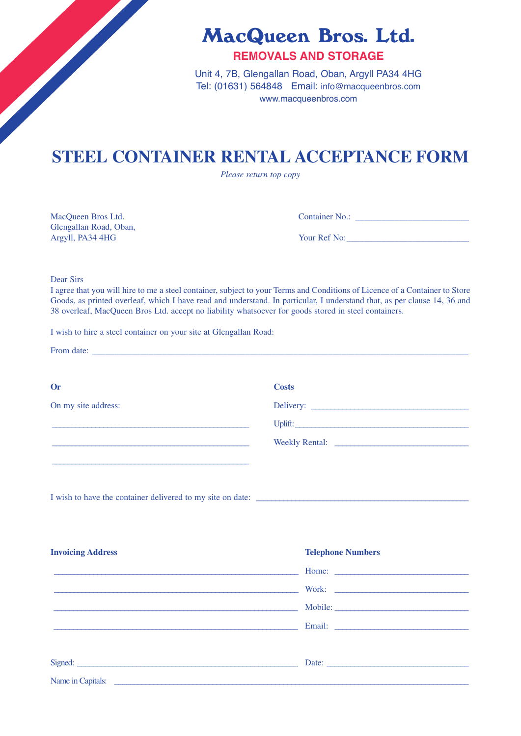MacQueen Bros. Ltd.

# **REMOVALS AND STORAGE**

Unit 4, 7B, Glengallan Road, Oban, Argyll PA34 4HG Tel: (01631) 564848 Email: info@macqueenbros.com www.macqueenbros.com

# **STEEL CONTAINER RENTAL ACCEPTANCE FORM**

*Please return top copy*

Glengallan Road, Oban, Argyll, PA34 4HG Your Ref No:\_\_\_\_\_\_\_\_\_\_\_\_\_\_\_\_\_\_\_\_\_\_\_\_\_\_\_\_

MacQueen Bros Ltd. Container No.: \_\_\_\_\_\_\_\_\_\_\_\_\_\_\_\_\_\_\_\_\_\_\_\_\_\_

Dear Sirs

I agree that you will hire to me a steel container, subject to your Terms and Conditions of Licence of a Container to Store Goods, as printed overleaf, which I have read and understand. In particular, I understand that, as per clause 14, 36 and 38 overleaf, MacQueen Bros Ltd. accept no liability whatsoever for goods stored in steel containers.

I wish to hire a steel container on your site at Glengallan Road:

| <b>Costs</b> |
|--------------|
|              |
|              |
|              |
|              |
|              |
|              |

I wish to have the container delivered to my site on date:

| <b>Invoicing Address</b>                                                                                                                                                                                                             | <b>Telephone Numbers</b> |
|--------------------------------------------------------------------------------------------------------------------------------------------------------------------------------------------------------------------------------------|--------------------------|
|                                                                                                                                                                                                                                      |                          |
|                                                                                                                                                                                                                                      | Work:                    |
| <u> 1999 - Jan James James James James James James James James James James James James James James James James Ja</u>                                                                                                                | Mobile:                  |
|                                                                                                                                                                                                                                      |                          |
|                                                                                                                                                                                                                                      |                          |
| Signed: <u>contract and contract and contract and contract and contract and contract and contract and contract and contract and contract and contract and contract and contract and contract and contract and contract and contr</u> |                          |
| Name in Capitals:                                                                                                                                                                                                                    |                          |